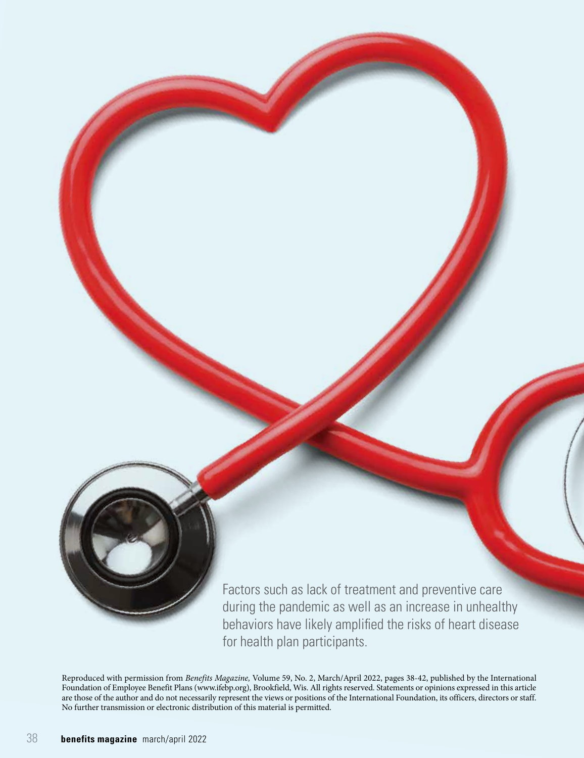

Factors such as lack of treatment and preventive care during the pandemic as well as an increase in unhealthy behaviors have likely amplified the risks of heart disease for health plan participants.

Reproduced with permission from *Benefits Magazine,* Volume 59, No. 2, March/April 2022, pages 38-42, published by the International Foundation of Employee Benefit Plans (www.ifebp.org), Brookfield, Wis. All rights reserved. Statements or opinions expressed in this article are those of the author and do not necessarily represent the views or positions of the International Foundation, its officers, directors or staff. No further transmission or electronic distribution of this material is permitted.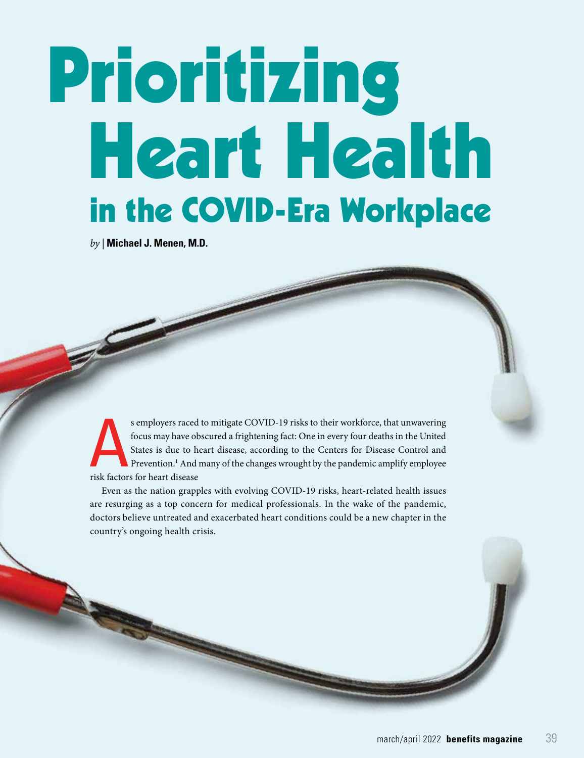# Prioritizing Heart Health in the COVID-Era Workplace

*by |* **Michael J. Menen, M.D.**

s employers raced to mitigate COVID-19 risks to their workforce, that unwavering<br>focus may have obscured a frightening fact: One in every four deaths in the United<br>States is due to heart disease, according to the Centers f focus may have obscured a frightening fact: One in every four deaths in the United States is due to heart disease, according to the Centers for Disease Control and Prevention.<sup>1</sup> And many of the changes wrought by the pandemic amplify employee risk factors for heart disease

Even as the nation grapples with evolving COVID-19 risks, heart-related health issues are resurging as a top concern for medical professionals. In the wake of the pandemic, doctors believe untreated and exacerbated heart conditions could be a new chapter in the country's ongoing health crisis.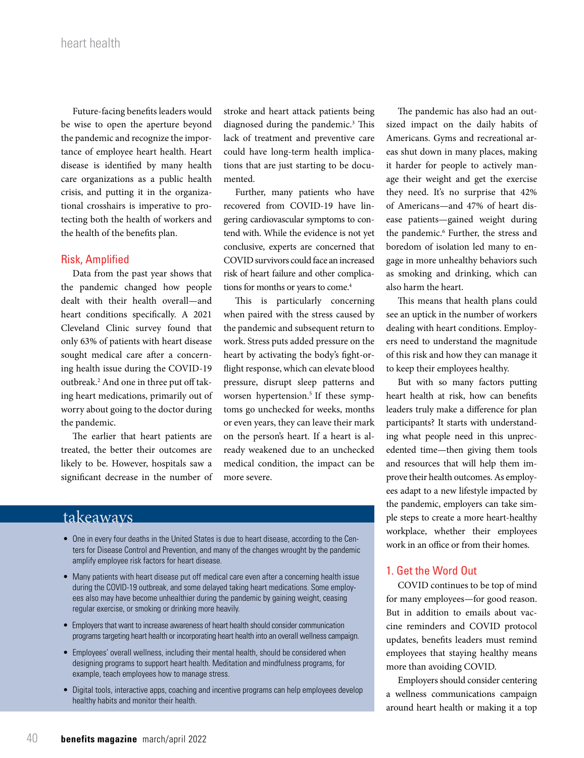Future-facing benefits leaders would be wise to open the aperture beyond the pandemic and recognize the importance of employee heart health. Heart disease is identified by many health care organizations as a public health crisis, and putting it in the organizational crosshairs is imperative to protecting both the health of workers and the health of the benefits plan.

## Risk, Amplified

Data from the past year shows that the pandemic changed how people dealt with their health overall—and heart conditions specifically. A 2021 Cleveland Clinic survey found that only 63% of patients with heart disease sought medical care after a concerning health issue during the COVID-19 outbreak.2 And one in three put off taking heart medications, primarily out of worry about going to the doctor during the pandemic.

The earlier that heart patients are treated, the better their outcomes are likely to be. However, hospitals saw a significant decrease in the number of stroke and heart attack patients being diagnosed during the pandemic.<sup>3</sup> This lack of treatment and preventive care could have long-term health implications that are just starting to be documented.

Further, many patients who have recovered from COVID-19 have lingering cardiovascular symptoms to contend with. While the evidence is not yet conclusive, experts are concerned that COVID survivors could face an increased risk of heart failure and other complications for months or years to come.<sup>4</sup>

This is particularly concerning when paired with the stress caused by the pandemic and subsequent return to work. Stress puts added pressure on the heart by activating the body's fight-orflight response, which can elevate blood pressure, disrupt sleep patterns and worsen hypertension.<sup>5</sup> If these symptoms go unchecked for weeks, months or even years, they can leave their mark on the person's heart. If a heart is already weakened due to an unchecked medical condition, the impact can be more severe.

# takeaways

- One in every four deaths in the United States is due to heart disease, according to the Centers for Disease Control and Prevention, and many of the changes wrought by the pandemic amplify employee risk factors for heart disease.
- Many patients with heart disease put off medical care even after a concerning health issue during the COVID-19 outbreak, and some delayed taking heart medications. Some employees also may have become unhealthier during the pandemic by gaining weight, ceasing regular exercise, or smoking or drinking more heavily.
- Employers that want to increase awareness of heart health should consider communication programs targeting heart health or incorporating heart health into an overall wellness campaign.
- Employees' overall wellness, including their mental health, should be considered when designing programs to support heart health. Meditation and mindfulness programs, for example, teach employees how to manage stress.
- Digital tools, interactive apps, coaching and incentive programs can help employees develop healthy habits and monitor their health.

The pandemic has also had an outsized impact on the daily habits of Americans. Gyms and recreational areas shut down in many places, making it harder for people to actively manage their weight and get the exercise they need. It's no surprise that 42% of Americans—and 47% of heart disease patients—gained weight during the pandemic.<sup>6</sup> Further, the stress and boredom of isolation led many to engage in more unhealthy behaviors such as smoking and drinking, which can also harm the heart.

This means that health plans could see an uptick in the number of workers dealing with heart conditions. Employers need to understand the magnitude of this risk and how they can manage it to keep their employees healthy.

But with so many factors putting heart health at risk, how can benefits leaders truly make a difference for plan participants? It starts with understanding what people need in this unprecedented time—then giving them tools and resources that will help them improve their health outcomes. As employees adapt to a new lifestyle impacted by the pandemic, employers can take simple steps to create a more heart-healthy workplace, whether their employees work in an office or from their homes.

## 1. Get the Word Out

COVID continues to be top of mind for many employees—for good reason. But in addition to emails about vaccine reminders and COVID protocol updates, benefits leaders must remind employees that staying healthy means more than avoiding COVID.

Employers should consider centering a wellness communications campaign around heart health or making it a top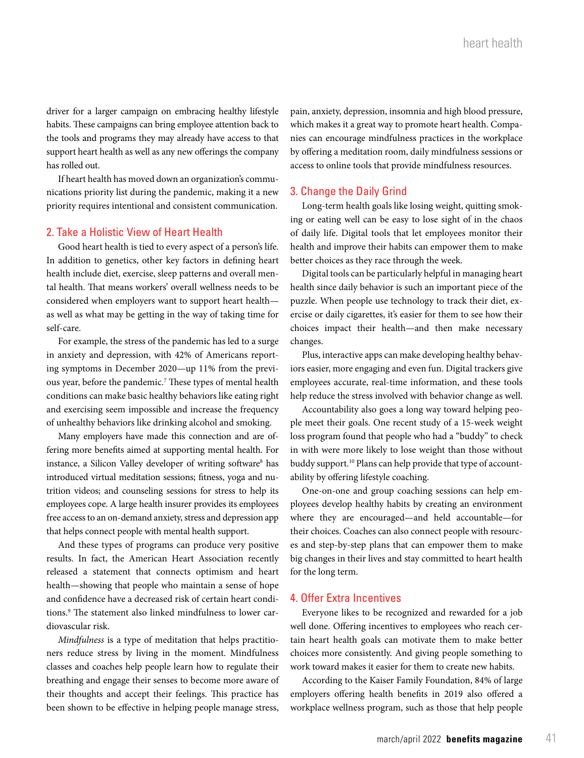driver for a larger campaign on embracing healthy lifestyle habits. These campaigns can bring employee attention back to the tools and programs they may already have access to that support heart health as well as any new offerings the company has rolled out.

If heart health has moved down an organization's communications priority list during the pandemic, making it a new priority requires intentional and consistent communication.

### 2. Take a Holistic View of Heart Health

Good heart health is tied to every aspect of a person's life. In addition to genetics, other key factors in defining heart health include diet, exercise, sleep patterns and overall mental health. That means workers' overall wellness needs to be considered when employers want to support heart health as well as what may be getting in the way of taking time for self-care.

For example, the stress of the pandemic has led to a surge in anxiety and depression, with 42% of Americans reporting symptoms in December 2020—up 11% from the previous year, before the pandemic.<sup>7</sup> These types of mental health conditions can make basic healthy behaviors like eating right and exercising seem impossible and increase the frequency of unhealthy behaviors like drinking alcohol and smoking.

Many employers have made this connection and are offering more benefits aimed at supporting mental health. For instance, a Silicon Valley developer of writing software<sup>8</sup> has introduced virtual meditation sessions; fitness, yoga and nutrition videos; and counseling sessions for stress to help its employees cope. A large health insurer provides its employees free access to an on-demand anxiety, stress and depression app that helps connect people with mental health support.

And these types of programs can produce very positive results. In fact, the American Heart Association recently released a statement that connects optimism and heart health—showing that people who maintain a sense of hope and confidence have a decreased risk of certain heart conditions.9 The statement also linked mindfulness to lower cardiovascular risk.

*Mindfulness* is a type of meditation that helps practitioners reduce stress by living in the moment. Mindfulness classes and coaches help people learn how to regulate their breathing and engage their senses to become more aware of their thoughts and accept their feelings. This practice has been shown to be effective in helping people manage stress,

pain, anxiety, depression, insomnia and high blood pressure, which makes it a great way to promote heart health. Companies can encourage mindfulness practices in the workplace by offering a meditation room, daily mindfulness sessions or access to online tools that provide mindfulness resources.

### 3. Change the Daily Grind

Long-term health goals like losing weight, quitting smoking or eating well can be easy to lose sight of in the chaos of daily life. Digital tools that let employees monitor their health and improve their habits can empower them to make better choices as they race through the week.

Digital tools can be particularly helpful in managing heart health since daily behavior is such an important piece of the puzzle. When people use technology to track their diet, exercise or daily cigarettes, it's easier for them to see how their choices impact their health—and then make necessary changes.

Plus, interactive apps can make developing healthy behaviors easier, more engaging and even fun. Digital trackers give employees accurate, real-time information, and these tools help reduce the stress involved with behavior change as well.

Accountability also goes a long way toward helping people meet their goals. One recent study of a 15-week weight loss program found that people who had a "buddy" to check in with were more likely to lose weight than those without buddy support.<sup>10</sup> Plans can help provide that type of accountability by offering lifestyle coaching.

One-on-one and group coaching sessions can help employees develop healthy habits by creating an environment where they are encouraged—and held accountable—for their choices. Coaches can also connect people with resources and step-by-step plans that can empower them to make big changes in their lives and stay committed to heart health for the long term.

## 4. Offer Extra Incentives

Everyone likes to be recognized and rewarded for a job well done. Offering incentives to employees who reach certain heart health goals can motivate them to make better choices more consistently. And giving people something to work toward makes it easier for them to create new habits.

According to the Kaiser Family Foundation, 84% of large employers offering health benefits in 2019 also offered a workplace wellness program, such as those that help people